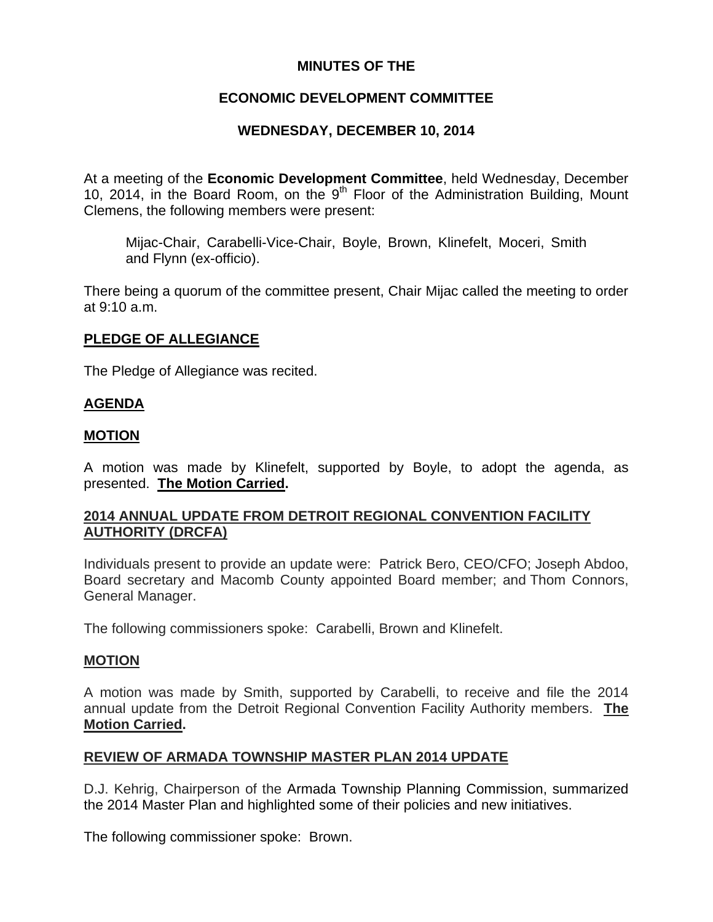# **MINUTES OF THE**

# **ECONOMIC DEVELOPMENT COMMITTEE**

# **WEDNESDAY, DECEMBER 10, 2014**

At a meeting of the **Economic Development Committee**, held Wednesday, December 10, 2014, in the Board Room, on the 9<sup>th</sup> Floor of the Administration Building, Mount Clemens, the following members were present:

Mijac-Chair, Carabelli-Vice-Chair, Boyle, Brown, Klinefelt, Moceri, Smith and Flynn (ex-officio).

There being a quorum of the committee present, Chair Mijac called the meeting to order at 9:10 a.m.

# **PLEDGE OF ALLEGIANCE**

The Pledge of Allegiance was recited.

# **AGENDA**

### **MOTION**

A motion was made by Klinefelt, supported by Boyle, to adopt the agenda, as presented. **The Motion Carried.** 

# **2014 ANNUAL UPDATE FROM DETROIT REGIONAL CONVENTION FACILITY AUTHORITY (DRCFA)**

Individuals present to provide an update were: Patrick Bero, CEO/CFO; Joseph Abdoo, Board secretary and Macomb County appointed Board member; and Thom Connors, General Manager.

The following commissioners spoke: Carabelli, Brown and Klinefelt.

#### **MOTION**

A motion was made by Smith, supported by Carabelli, to receive and file the 2014 annual update from the Detroit Regional Convention Facility Authority members. **The Motion Carried.** 

# **REVIEW OF ARMADA TOWNSHIP MASTER PLAN 2014 UPDATE**

D.J. Kehrig, Chairperson of the Armada Township Planning Commission, summarized the 2014 Master Plan and highlighted some of their policies and new initiatives.

The following commissioner spoke: Brown.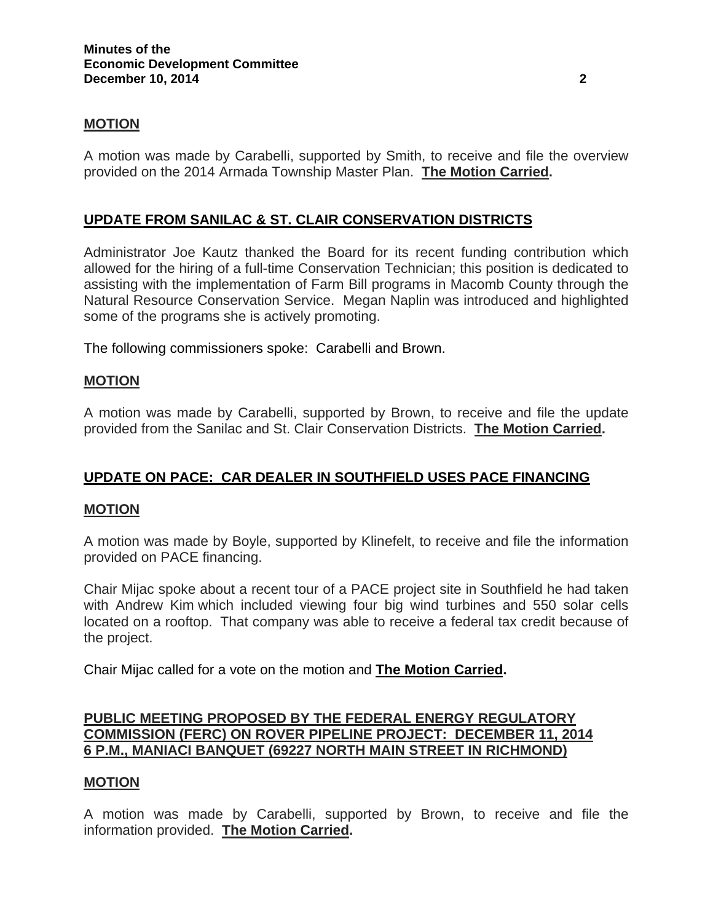### **MOTION**

A motion was made by Carabelli, supported by Smith, to receive and file the overview provided on the 2014 Armada Township Master Plan. **The Motion Carried.** 

# **UPDATE FROM SANILAC & ST. CLAIR CONSERVATION DISTRICTS**

Administrator Joe Kautz thanked the Board for its recent funding contribution which allowed for the hiring of a full-time Conservation Technician; this position is dedicated to assisting with the implementation of Farm Bill programs in Macomb County through the Natural Resource Conservation Service. Megan Naplin was introduced and highlighted some of the programs she is actively promoting.

The following commissioners spoke: Carabelli and Brown.

#### **MOTION**

A motion was made by Carabelli, supported by Brown, to receive and file the update provided from the Sanilac and St. Clair Conservation Districts. **The Motion Carried.** 

# **UPDATE ON PACE: CAR DEALER IN SOUTHFIELD USES PACE FINANCING**

#### **MOTION**

A motion was made by Boyle, supported by Klinefelt, to receive and file the information provided on PACE financing.

Chair Mijac spoke about a recent tour of a PACE project site in Southfield he had taken with Andrew Kim which included viewing four big wind turbines and 550 solar cells located on a rooftop. That company was able to receive a federal tax credit because of the project.

Chair Mijac called for a vote on the motion and **The Motion Carried.**

# **PUBLIC MEETING PROPOSED BY THE FEDERAL ENERGY REGULATORY COMMISSION (FERC) ON ROVER PIPELINE PROJECT: DECEMBER 11, 2014 6 P.M., MANIACI BANQUET (69227 NORTH MAIN STREET IN RICHMOND)**

# **MOTION**

A motion was made by Carabelli, supported by Brown, to receive and file the information provided. **The Motion Carried.**